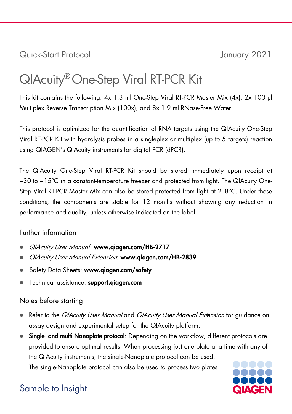Quick-Start Protocol January 2021

# QIAcuity®One-Step Viral RT-PCR Kit

This kit contains the following: 4x 1.3 ml One-Step Viral RT-PCR Master Mix (4x), 2x 100 µl Multiplex Reverse Transcription Mix (100x), and 8x 1.9 ml RNase-Free Water.

This protocol is optimized for the quantification of RNA targets using the QIAcuity One-Step Viral RT-PCR Kit with hydrolysis probes in a singleplex or multiplex (up to 5 targets) reaction using QIAGEN's QIAcuity instruments for digital PCR (dPCR).

The QIAcuity One-Step Viral RT-PCR Kit should be stored immediately upon receipt at −30 to −15°C in a constant-temperature freezer and protected from light. The QIAcuity One-Step Viral RT-PCR Master Mix can also be stored protected from light at 2–8°C. Under these conditions, the components are stable for 12 months without showing any reduction in performance and quality, unless otherwise indicated on the label.

## Further information

- QIAcuity User Manual: [www.qiagen.com/HB-2717](http://www.qiagen.com/HB-2717)
- QIAcuity User Manual Extension: www.qiagen.com/HB-2839
- Safety Data Sheets: www.giagen.com/safety
- Technical assistance: [support.qiagen.com](https://support.qiagen.com/)

# Notes before starting

- Refer to the *QIAcuity User Manual* and *QIAcuity User Manual Extension* for guidance on assay design and experimental setup for the QIAcuity platform.
- Single- and multi-Nanoplate protocol: Depending on the workflow, different protocols are provided to ensure optimal results. When processing just one plate at a time with any of the QIAcuity instruments, the single-Nanoplate protocol can be used.

The single-Nanoplate protocol can also be used to process two plates



# Sample to Insight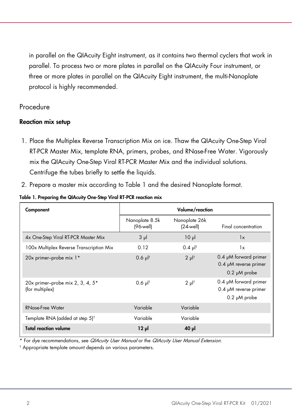in parallel on the QIAcuity Eight instrument, as it contains two thermal cyclers that work in parallel. To process two or more plates in parallel on the QIAcuity Four instrument, or three or more plates in parallel on the QIAcuity Eight instrument, the multi-Nanoplate protocol is highly recommended.

## Procedure

#### Reaction mix setup

- 1. Place the Multiplex Reverse Transcription Mix on ice. Thaw the QIAcuity One-Step Viral RT-PCR Master Mix, template RNA, primers, probes, and RNase-Free Water. Vigorously mix the QIAcuity One-Step Viral RT-PCR Master Mix and the individual solutions. Centrifuge the tubes briefly to settle the liquids.
- 2. Prepare a master mix according to [Table 1](#page-1-0) and the desired Nanoplate format.

| Component                                           | Volume/reaction             |                               |                                                                       |
|-----------------------------------------------------|-----------------------------|-------------------------------|-----------------------------------------------------------------------|
|                                                     | Nanoplate 8.5k<br>(96-well) | Nanoplate 26k<br>$(24$ -well) | Final concentration                                                   |
| 4x One-Step Viral RT-PCR Master Mix                 | $3 \mu$                     | 10 <sub>µ</sub>               | 1x                                                                    |
| 100x Multiplex Reverse Transcription Mix            | 0.12                        | $0.4 \text{ pl}^+$            | 1x                                                                    |
| 20x primer-probe mix 1*                             | $0.6$ $\mu$ <sup>†</sup>    | $2 \mu$ <sup>†</sup>          | 0.4 µM forward primer<br>0.4 µM reverse primer<br>$0.2 \mu M$ probe   |
| 20x primer-probe mix 2, 3, 4, 5*<br>(for multiplex) | $0.6$ $\mu$ <sup>†</sup>    | $2 \mu$ <sup>†</sup>          | 0.4 µM forward primer<br>$0.4$ µM reverse primer<br>$0.2 \mu M$ probe |
| <b>RNase-Free Water</b>                             | Variable                    | Variable                      |                                                                       |
| Template RNA (added at step 5) <sup>t</sup>         | Variable                    | Variable                      |                                                                       |
| <b>Total reaction volume</b>                        | $12 \mu$                    | $40 \mu$                      |                                                                       |

<span id="page-1-0"></span>Table 1. Preparing the QIAcuity One-Step Viral RT-PCR reaction mix

For dye recommendations, see QIAcuity User Manual or the QIAcuity User Manual Extension.

† Appropriate template amount depends on various parameters.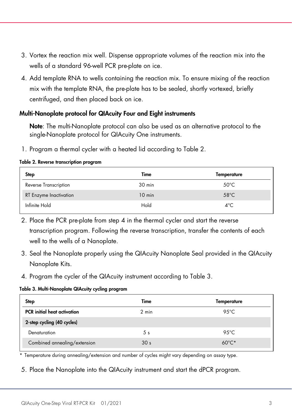- 3. Vortex the reaction mix well. Dispense appropriate volumes of the reaction mix into the wells of a standard 96-well PCR pre-plate on ice.
- 4. Add template RNA to wells containing the reaction mix. To ensure mixing of the reaction mix with the template RNA, the pre-plate has to be sealed, shortly vortexed, briefly centrifuged, and then placed back on ice.

#### Multi-Nanoplate protocol for QIAcuity Four and Eight instruments

Note: The multi-Nanoplate protocol can also be used as an alternative protocol to the single-Nanoplate protocol for QIAcuity One instruments.

1. Program a thermal cycler with a heated lid according to [Table 2.](#page-2-0)

#### <span id="page-2-0"></span>Table 2. Reverse transcription program

| <b>Step</b>                   | Time     | Temperature    |
|-------------------------------|----------|----------------|
| <b>Reverse Transcription</b>  | 30 min   | $50^{\circ}$ C |
| <b>RT Enzyme Inactivation</b> | $10$ min | $58^{\circ}$ C |
| Infinite Hold                 | Hold     | $4^{\circ}$ C  |

- 2. Place the PCR pre-plate from step 4 in the thermal cycler and start the reverse transcription program. Following the reverse transcription, transfer the contents of each well to the wells of a Nanoplate.
- 3. Seal the Nanoplate properly using the QIAcuity Nanoplate Seal provided in the QIAcuity Nanoplate Kits.
- 4. Program the cycler of the QIAcuity instrument according to [Table 3.](#page-2-1)

#### <span id="page-2-1"></span>Table 3. Multi-Nanoplate QIAcuity cycling program

| <b>Step</b>                        | Time            | Temperature     |
|------------------------------------|-----------------|-----------------|
| <b>PCR</b> initial heat activation | 2 min           | 95 $°C$         |
| 2-step cycling (40 cycles)         |                 |                 |
| Denaturation                       | 5 <sub>s</sub>  | 95 $°C$         |
| Combined annealing/extension       | 30 <sub>s</sub> | $60^{\circ}$ C* |

\* Temperature during annealing/extension and number of cycles might vary depending on assay type.

5. Place the Nanoplate into the QIAcuity instrument and start the dPCR program.